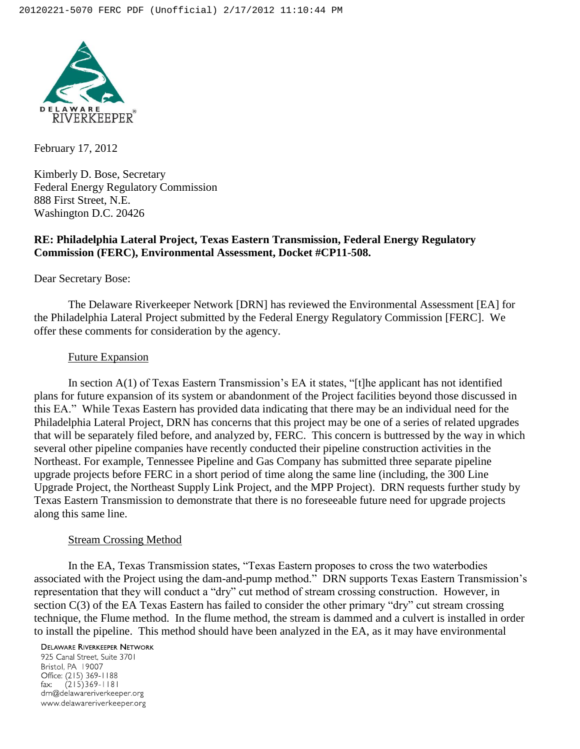

February 17, 2012

Kimberly D. Bose, Secretary Federal Energy Regulatory Commission 888 First Street, N.E. Washington D.C. 20426

# **RE: Philadelphia Lateral Project, Texas Eastern Transmission, Federal Energy Regulatory Commission (FERC), Environmental Assessment, Docket #CP11-508.**

Dear Secretary Bose:

The Delaware Riverkeeper Network [DRN] has reviewed the Environmental Assessment [EA] for the Philadelphia Lateral Project submitted by the Federal Energy Regulatory Commission [FERC]. We offer these comments for consideration by the agency.

## Future Expansion

In section A(1) of Texas Eastern Transmission's EA it states, "[t]he applicant has not identified plans for future expansion of its system or abandonment of the Project facilities beyond those discussed in this EA." While Texas Eastern has provided data indicating that there may be an individual need for the Philadelphia Lateral Project, DRN has concerns that this project may be one of a series of related upgrades that will be separately filed before, and analyzed by, FERC. This concern is buttressed by the way in which several other pipeline companies have recently conducted their pipeline construction activities in the Northeast. For example, Tennessee Pipeline and Gas Company has submitted three separate pipeline upgrade projects before FERC in a short period of time along the same line (including, the 300 Line Upgrade Project, the Northeast Supply Link Project, and the MPP Project). DRN requests further study by Texas Eastern Transmission to demonstrate that there is no foreseeable future need for upgrade projects along this same line.

### Stream Crossing Method

In the EA, Texas Transmission states, "Texas Eastern proposes to cross the two waterbodies associated with the Project using the dam-and-pump method." DRN supports Texas Eastern Transmission's representation that they will conduct a "dry" cut method of stream crossing construction. However, in section C(3) of the EA Texas Eastern has failed to consider the other primary "dry" cut stream crossing technique, the Flume method. In the flume method, the stream is dammed and a culvert is installed in order to install the pipeline. This method should have been analyzed in the EA, as it may have environmental

#### **DELAWARE RIVERKEEPER NETWORK**

925 Canal Street, Suite 3701 Bristol, PA 19007 Office: (215) 369-1188  $(215)369 - 1181$ fax: drn@delawareriverkeeper.org www.delawareriverkeeper.org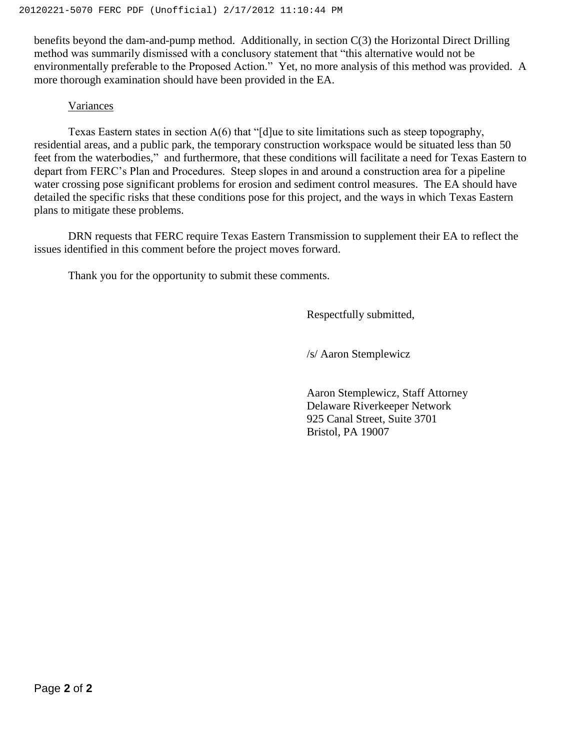benefits beyond the dam-and-pump method. Additionally, in section C(3) the Horizontal Direct Drilling method was summarily dismissed with a conclusory statement that "this alternative would not be environmentally preferable to the Proposed Action." Yet, no more analysis of this method was provided. A more thorough examination should have been provided in the EA.

## Variances

Texas Eastern states in section A(6) that "[d]ue to site limitations such as steep topography, residential areas, and a public park, the temporary construction workspace would be situated less than 50 feet from the waterbodies," and furthermore, that these conditions will facilitate a need for Texas Eastern to depart from FERC's Plan and Procedures. Steep slopes in and around a construction area for a pipeline water crossing pose significant problems for erosion and sediment control measures. The EA should have detailed the specific risks that these conditions pose for this project, and the ways in which Texas Eastern plans to mitigate these problems.

DRN requests that FERC require Texas Eastern Transmission to supplement their EA to reflect the issues identified in this comment before the project moves forward.

Thank you for the opportunity to submit these comments.

Respectfully submitted,

/s/ Aaron Stemplewicz

Aaron Stemplewicz, Staff Attorney Delaware Riverkeeper Network 925 Canal Street, Suite 3701 Bristol, PA 19007